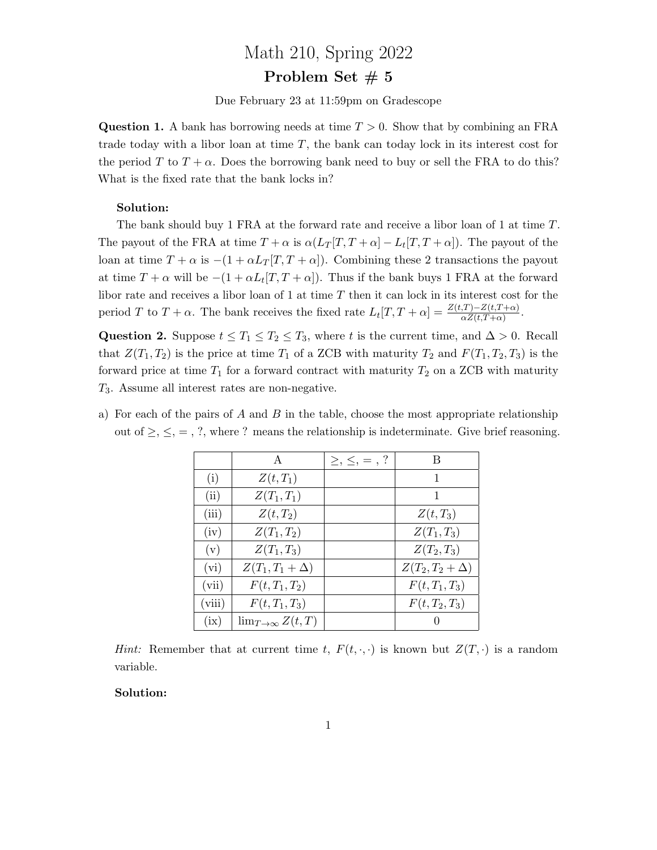# Math 210, Spring 2022

# Problem Set  $# 5$

Due February 23 at 11:59pm on Gradescope

**Question 1.** A bank has borrowing needs at time  $T > 0$ . Show that by combining an FRA trade today with a libor loan at time  $T$ , the bank can today lock in its interest cost for the period T to  $T + \alpha$ . Does the borrowing bank need to buy or sell the FRA to do this? What is the fixed rate that the bank locks in?

## Solution:

The bank should buy 1 FRA at the forward rate and receive a libor loan of 1 at time T. The payout of the FRA at time  $T + \alpha$  is  $\alpha (L_T[T, T + \alpha] - L_t[T, T + \alpha])$ . The payout of the loan at time  $T + \alpha$  is  $-(1 + \alpha L_T[T, T + \alpha])$ . Combining these 2 transactions the payout at time  $T + \alpha$  will be  $-(1 + \alpha L_t[T, T + \alpha])$ . Thus if the bank buys 1 FRA at the forward libor rate and receives a libor loan of 1 at time  $T$  then it can lock in its interest cost for the period T to  $T + \alpha$ . The bank receives the fixed rate  $L_t[T, T + \alpha] = \frac{Z(t, T) - Z(t, T + \alpha)}{\alpha Z(t, T + \alpha)}$ .

Question 2. Suppose  $t \leq T_1 \leq T_2 \leq T_3$ , where t is the current time, and  $\Delta > 0$ . Recall that  $Z(T_1, T_2)$  is the price at time  $T_1$  of a ZCB with maturity  $T_2$  and  $F(T_1, T_2, T_3)$  is the forward price at time  $T_1$  for a forward contract with maturity  $T_2$  on a ZCB with maturity T3. Assume all interest rates are non-negative.

- A  $| \geq, \leq, =, ? |$  B (i)  $Z(t, T_1)$  1 (ii)  $Z(T_1, T_1)$  1 (iii)  $Z(t, T_2)$  |  $Z(t, T_3)$ (iv)  $Z(T_1, T_2)$   $Z(T_1, T_3)$ (v)  $Z(T_1, T_3)$   $Z(T_2, T_3)$ (vi)  $Z(T_1, T_1 + \Delta)$   $Z(T_2, T_2 + \Delta)$ (vii)  $F(t, T_1, T_2)$  |  $F(t, T_1, T_3)$ (viii)  $F(t, T_1, T_3)$   $F(t, T_2, T_3)$ (ix)  $\lim_{T\to\infty} Z(t,T)$  0
- a) For each of the pairs of A and B in the table, choose the most appropriate relationship out of  $\geq$ ,  $\leq$ ,  $=$ , ?, where ? means the relationship is indeterminate. Give brief reasoning.

*Hint:* Remember that at current time t,  $F(t, \cdot, \cdot)$  is known but  $Z(T, \cdot)$  is a random variable.

#### Solution: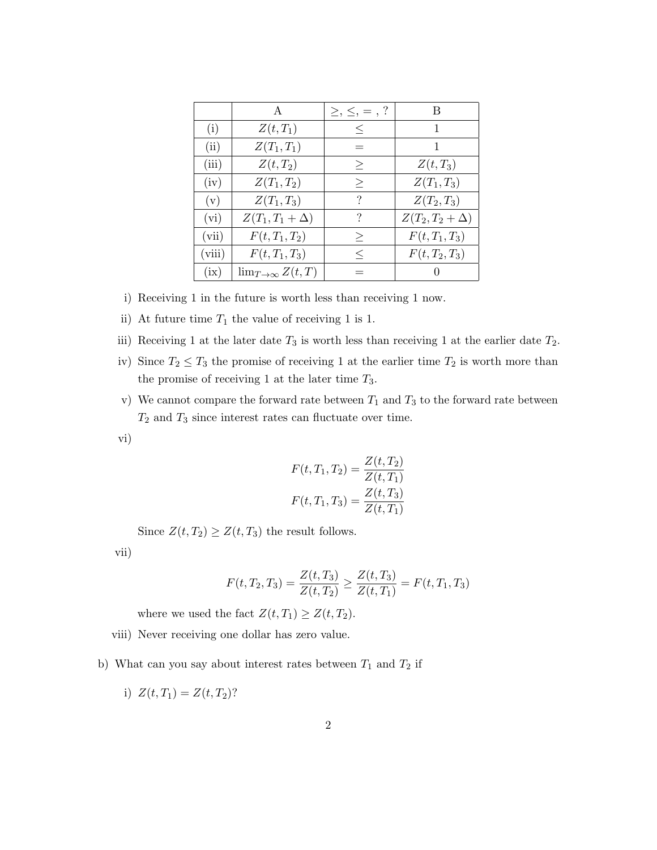|        | A                          | $\geq, \leq, =, ?$ | B                   |
|--------|----------------------------|--------------------|---------------------|
| (i)    | $Z(t,T_1)$                 | $\leq$             | 1                   |
| (ii)   | $Z(T_1,T_1)$               |                    |                     |
| (iii)  | $Z(t,T_2)$                 | $\geq$             | $Z(t,T_3)$          |
| (iv)   | $Z(T_1,T_2)$               | $\geq$             | $Z(T_1, T_3)$       |
| (v)    | $Z(T_1, T_3)$              | ?                  | $Z(T_2,T_3)$        |
| (vi)   | $Z(T_1,T_1+\Delta)$        | ?                  | $Z(T_2,T_2+\Delta)$ |
| (vii)  | $F(t, T_1, T_2)$           | $\geq$             | $F(t, T_1, T_3)$    |
| (viii) | $F(t, T_1, T_3)$           | $\,<\,$            | $F(t, T_2, T_3)$    |
| (ix)   | $\lim_{T\to\infty} Z(t,T)$ |                    |                     |

- i) Receiving 1 in the future is worth less than receiving 1 now.
- ii) At future time  $T_1$  the value of receiving 1 is 1.
- iii) Receiving 1 at the later date  $T_3$  is worth less than receiving 1 at the earlier date  $T_2$ .
- iv) Since  $T_2 \leq T_3$  the promise of receiving 1 at the earlier time  $T_2$  is worth more than the promise of receiving 1 at the later time  $T_3$ .
- v) We cannot compare the forward rate between  $T_1$  and  $T_3$  to the forward rate between  $T_2$  and  $T_3$  since interest rates can fluctuate over time.
- vi)

$$
F(t, T_1, T_2) = \frac{Z(t, T_2)}{Z(t, T_1)}
$$

$$
F(t, T_1, T_3) = \frac{Z(t, T_3)}{Z(t, T_1)}
$$

Since  $Z(t, T_2) \geq Z(t, T_3)$  the result follows.

vii)

$$
F(t, T_2, T_3) = \frac{Z(t, T_3)}{Z(t, T_2)} \ge \frac{Z(t, T_3)}{Z(t, T_1)} = F(t, T_1, T_3)
$$

where we used the fact  $Z(t, T_1) \geq Z(t, T_2)$ .

- viii) Never receiving one dollar has zero value.
- b) What can you say about interest rates between  $T_1$  and  $T_2$  if
	- i)  $Z(t, T_1) = Z(t, T_2)$ ?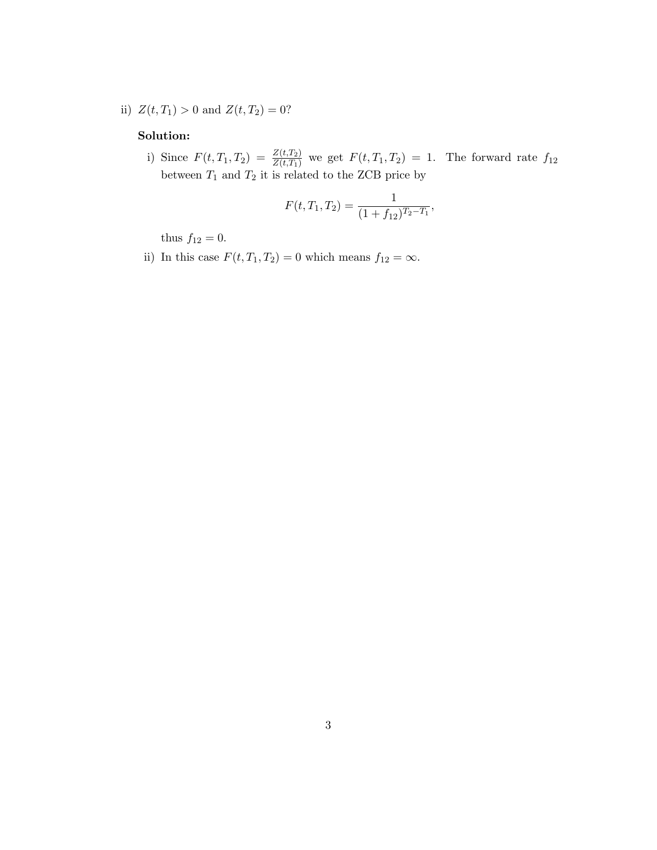ii)  $Z(t, T_1) > 0$  and  $Z(t, T_2) = 0$ ?

# Solution:

i) Since  $F(t, T_1, T_2) = \frac{Z(t, T_2)}{Z(t, T_1)}$  we get  $F(t, T_1, T_2) = 1$ . The forward rate  $f_{12}$ between  $T_1$  and  $T_2$  it is related to the ZCB price by

$$
F(t, T_1, T_2) = \frac{1}{(1 + f_{12})^{T_2 - T_1}},
$$

thus  $f_{12} = 0$ .

ii) In this case  $F(t, T_1, T_2) = 0$  which means  $f_{12} = \infty$ .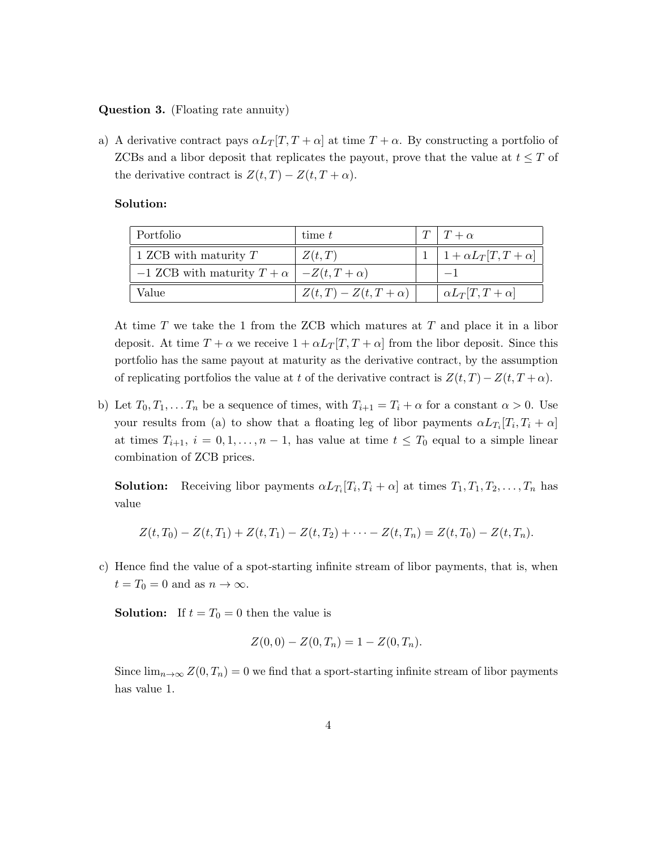## Question 3. (Floating rate annuity)

a) A derivative contract pays  $\alpha L_T[T, T + \alpha]$  at time  $T + \alpha$ . By constructing a portfolio of ZCBs and a libor deposit that replicates the payout, prove that the value at  $t \leq T$  of the derivative contract is  $Z(t,T) - Z(t,T+\alpha)$ .

# Solution:

| Portfolio                                                 | time t                   | $T   T + \alpha$                       |
|-----------------------------------------------------------|--------------------------|----------------------------------------|
| 1 ZCB with maturity $T$                                   | Z(t,T)                   | $1 \mid 1 + \alpha L_T[T, T + \alpha]$ |
| $-1$ ZCB with maturity $T + \alpha$   $-Z(t, T + \alpha)$ |                          |                                        |
| Value                                                     | $Z(t,T) - Z(t,T+\alpha)$ | $\alpha L_T[T,T+\alpha]$               |

At time T we take the 1 from the ZCB which matures at T and place it in a libor deposit. At time  $T + \alpha$  we receive  $1 + \alpha L_T[T, T + \alpha]$  from the libor deposit. Since this portfolio has the same payout at maturity as the derivative contract, by the assumption of replicating portfolios the value at t of the derivative contract is  $Z(t,T) - Z(t,T+\alpha)$ .

b) Let  $T_0, T_1, \ldots, T_n$  be a sequence of times, with  $T_{i+1} = T_i + \alpha$  for a constant  $\alpha > 0$ . Use your results from (a) to show that a floating leg of libor payments  $\alpha L_{T_i}[T_i, T_i + \alpha]$ at times  $T_{i+1}$ ,  $i = 0, 1, ..., n-1$ , has value at time  $t \leq T_0$  equal to a simple linear combination of ZCB prices.

**Solution:** Receiving libor payments  $\alpha L_{T_i}[T_i, T_i + \alpha]$  at times  $T_1, T_1, T_2, \ldots, T_n$  has value

$$
Z(t,T_0)-Z(t,T_1)+Z(t,T_1)-Z(t,T_2)+\cdots-Z(t,T_n)=Z(t,T_0)-Z(t,T_n).
$$

c) Hence find the value of a spot-starting infinite stream of libor payments, that is, when  $t = T_0 = 0$  and as  $n \to \infty$ .

**Solution:** If  $t = T_0 = 0$  then the value is

$$
Z(0,0) - Z(0,T_n) = 1 - Z(0,T_n).
$$

Since  $\lim_{n\to\infty} Z(0,T_n) = 0$  we find that a sport-starting infinite stream of libor payments has value 1.